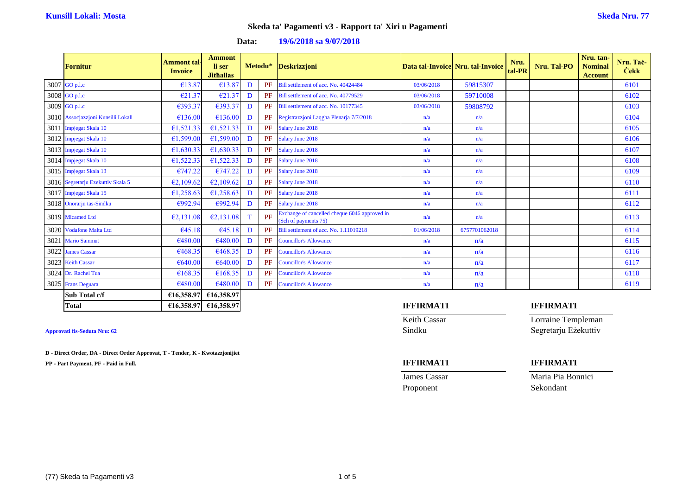**Data: 19/6/2018 sa 9/07/2018**

| <b>Fornitur</b>                    | Ammont tal-<br><b>Invoice</b> | <b>Ammont</b><br>li ser<br><b>Jithallas</b> | Metodu* |    | <b>Deskrizzjoni</b>                                                   |            | Data tal-Invoice Nru. tal-Invoice | Nru.<br>tal-PR | Nru. Tal-PO | Nru. tan-<br><b>Nominal</b><br><b>Account</b> | Nru. Tač-<br><b>Cekk</b> |
|------------------------------------|-------------------------------|---------------------------------------------|---------|----|-----------------------------------------------------------------------|------------|-----------------------------------|----------------|-------------|-----------------------------------------------|--------------------------|
| 3007 GO p.l.c                      | €13.87                        | €13.87                                      | D       | PF | Bill settlement of acc. No. 40424484                                  | 03/06/2018 | 59815307                          |                |             |                                               | 6101                     |
| 3008 GO p.l.c                      | €21.37                        | €21.37                                      | D       | PF | Bill settlement of acc. No. 40779529                                  | 03/06/2018 | 59710008                          |                |             |                                               | 6102                     |
| 3009 GO p.l.c                      | €393.37                       | €393.37                                     | D       | PF | Bill settlement of acc. No. 10177345                                  | 03/06/2018 | 59808792                          |                |             |                                               | 6103                     |
| 3010 Assocjazzjoni Kunsilli Lokali | €136.00                       | €136.00                                     | D       | PF | Registrazzioni Laqgha Plenarja 7/7/2018                               | n/a        | n/a                               |                |             |                                               | 6104                     |
| 3011 Impjegat Skala 10             | €1,521.33                     | 61,521.33                                   | D       | PF | Salary June 2018                                                      | n/a        | n/a                               |                |             |                                               | 6105                     |
| 3012 Impjegat Skala 10             | €1,599.00                     | €1,599.00                                   | D       | PF | Salary June 2018                                                      | n/a        | n/a                               |                |             |                                               | 6106                     |
| 3013 Impjegat Skala 10             | €1,630.33                     | €1,630.33                                   | D       | PF | Salary June 2018                                                      | n/a        | n/a                               |                |             |                                               | 6107                     |
| 3014 Impjegat Skala 10             | €1,522.33                     | €1,522.33                                   | D       | PF | Salary June 2018                                                      | n/a        | n/a                               |                |             |                                               | 6108                     |
| 3015 Impjegat Skala 13             | €747.22                       | €747.22                                     | D       | PF | Salary June 2018                                                      | n/a        | n/a                               |                |             |                                               | 6109                     |
| 3016 Segretarju Ezekuttiv Skala 5  | E2,109.62                     | E2,109.62                                   | D       | PF | Salary June 2018                                                      | n/a        | n/a                               |                |             |                                               | 6110                     |
| 3017 Impjegat Skala 15             | £1,258.63                     | £1,258.63                                   | D       | PF | Salary June 2018                                                      | n/a        | n/a                               |                |             |                                               | 6111                     |
| 3018 Onorarju tas-Sindku           | €992.94                       | €992.94                                     | D       | PF | Salary June 2018                                                      | n/a        | n/a                               |                |             |                                               | 6112                     |
| 3019 Micamed Ltd                   | E2,131.08                     | E2,131.08                                   | T       | PF | Exchange of cancelled cheque 6046 approved in<br>(Sch of payments 75) | n/a        | n/a                               |                |             |                                               | 6113                     |
| 3020 Vodafone Malta Ltd            | €45.18                        | €45.18                                      | D       | PF | Bill settlement of acc. No. 1.11019218                                | 01/06/2018 | 6757701062018                     |                |             |                                               | 6114                     |
| 3021 Mario Sammut                  | €480.00                       | €480.00                                     | D       | PF | <b>Councillor's Allowance</b>                                         | n/a        | n/a                               |                |             |                                               | 6115                     |
| 3022 James Cassar                  | €468.35                       | €468.35                                     | D       | PF | <b>Councillor's Allowance</b>                                         | n/a        | n/a                               |                |             |                                               | 6116                     |
| 3023 Keith Cassar                  | €640.00                       | €640.00                                     | D       | PF | <b>Councillor's Allowance</b>                                         | n/a        | n/a                               |                |             |                                               | 6117                     |
| 3024 Dr. Rachel Tua                | €168.35                       | €168.35                                     | D       | PF | <b>Councillor's Allowance</b>                                         | n/a        | n/a                               |                |             |                                               | 6118                     |
| 3025 Frans Deguara                 | €480.00                       | €480.00                                     | D       | PF | <b>Councillor's Allowance</b>                                         | n/a        | n/a                               |                |             |                                               | 6119                     |
| Sub Total c/f                      |                               | €16,358.97 €16,358.97                       |         |    |                                                                       |            |                                   |                |             |                                               |                          |

**D - Direct Order, DA - Direct Order Approvat, T - Tender, K - Kwotazzjonijiet**

**PP - Part Payment, PF - Paid in Full. IFFIRMATI IFFIRMATI**

## **Total €16,358.97 €16,358.97 IFFIRMATI IFFIRMATI**

Keith Cassar Lorraine Templeman **Approvati fis-Seduta Nru: 62** Sindku Segretarju Eżekuttiv

**James Cassar Maria Pia Bonnici** Proponent Sekondant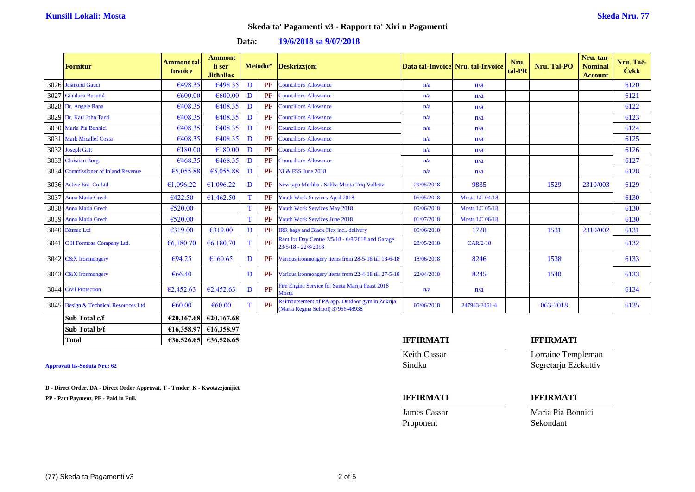| <b>Data:</b> | 19/6/2018 sa 9/07/2018 |
|--------------|------------------------|
|--------------|------------------------|

| <b>Fornitur</b>                       | <b>Ammont</b> tal-<br><b>Invoice</b> | <b>Ammont</b><br>li ser<br><b>Jithallas</b> |   | Metodu*   | <b>Deskrizzjoni</b>                                                                  |            | Data tal-Invoice Nru. tal-Invoice | Nru.<br>tal-PR | Nru. Tal-PO | Nru. tan-<br><b>Nominal</b><br><b>Account</b> | Nru. Taċ-<br><b>Cekk</b> |
|---------------------------------------|--------------------------------------|---------------------------------------------|---|-----------|--------------------------------------------------------------------------------------|------------|-----------------------------------|----------------|-------------|-----------------------------------------------|--------------------------|
| 3026 Jesmond Gauci                    | €498.35                              | €498.35                                     | D | PF        | <b>Councillor's Allowance</b>                                                        | n/a        | n/a                               |                |             |                                               | 6120                     |
| 3027 Gianluca Busuttil                | €600.00                              | €600.00                                     | D | PF        | <b>Councillor's Allowance</b>                                                        | n/a        | n/a                               |                |             |                                               | 6121                     |
| 3028 Dr. Angele Rapa                  | €408.35                              | €408.35                                     | D | PF        | <b>Councillor's Allowance</b>                                                        | n/a        | n/a                               |                |             |                                               | 6122                     |
| 3029 Dr. Karl John Tanti              | €408.35                              | €408.35                                     | D | PF        | <b>Councillor's Allowance</b>                                                        | n/a        | n/a                               |                |             |                                               | 6123                     |
| 3030 Maria Pia Bonnici                | €408.35                              | €408.35                                     | D | PF        | <b>Councillor's Allowance</b>                                                        | n/a        | n/a                               |                |             |                                               | 6124                     |
| 3031 Mark Micallef Costa              | €408.35                              | €408.35                                     | D | PF        | <b>Councillor's Allowance</b>                                                        | n/a        | n/a                               |                |             |                                               | 6125                     |
| 3032 Joseph Gatt                      | €180.00                              | €180.00                                     | D | PF        | <b>Councillor's Allowance</b>                                                        | n/a        | n/a                               |                |             |                                               | 6126                     |
| 3033 Christian Borg                   | €468.35                              | €468.35                                     | D | PF        | <b>Councillor's Allowance</b>                                                        | n/a        | n/a                               |                |             |                                               | 6127                     |
| 3034 Commissioner of Inland Revenue   | €5,055.88                            | €5,055.88                                   | D | PF        | <b>NI &amp; FSS June 2018</b>                                                        | n/a        | n/a                               |                |             |                                               | 6128                     |
| 3036 Active Ent. Co Ltd               | €1,096.22                            | £1,096.22                                   | D | <b>PF</b> | New sign Merhba / Sahha Mosta Triq Valletta                                          | 29/05/2018 | 9835                              |                | 1529        | 2310/003                                      | 6129                     |
| 3037 Anna Maria Grech                 | 6422.50                              | €1,462.50                                   | T | <b>PF</b> | Youth Work Services April 2018                                                       | 05/05/2018 | Mosta LC 04/18                    |                |             |                                               | 6130                     |
| 3038 Anna Maria Grech                 | €520.00                              |                                             | T | <b>PF</b> | Youth Work Services May 2018                                                         | 05/06/2018 | Mosta LC 05/18                    |                |             |                                               | 6130                     |
| 3039 Anna Maria Grech                 | €520.00                              |                                             | T | PF        | Youth Work Services June 2018                                                        | 01/07/2018 | Mosta LC 06/18                    |                |             |                                               | 6130                     |
| 3040 Bitmac Ltd                       | €319.00                              | €319.00                                     | D | PF        | <b>IRR</b> bags and Black Flex incl. delivery                                        | 05/06/2018 | 1728                              |                | 1531        | 2310/002                                      | 6131                     |
| 3041 C H Formosa Company Ltd.         | 66,180.70                            | 66,180.70                                   | T | PF        | Rent for Day Centre 7/5/18 - 6/8/2018 and Garage<br>23/5/18 - 22/8/2018              | 28/05/2018 | CAR/2/18                          |                |             |                                               | 6132                     |
| 3042 C&X Ironmongery                  | €94.25                               | €160.65                                     | D | PF        | Various ironmongery items from 28-5-18 till 18-6-18                                  | 18/06/2018 | 8246                              |                | 1538        |                                               | 6133                     |
| 3043 C&X Ironmongery                  | €66.40                               |                                             | D | PF        | Various ironmongery items from 22-4-18 till 27-5-18                                  | 22/04/2018 | 8245                              |                | 1540        |                                               | 6133                     |
| 3044 Civil Protection                 | E2,452.63                            | E2,452.63                                   | D | PF        | Fire Engine Service for Santa Marija Feast 2018<br><b>Mosta</b>                      | n/a        | n/a                               |                |             |                                               | 6134                     |
| 3045 Design & Technical Resources Ltd | €60.00                               | €60.00                                      | T | PF        | Reimbursement of PA app. Outdoor gym in Zokrija<br>(Maria Regina School) 37956-48938 | 05/06/2018 | 247943-3161-4                     |                | 063-2018    |                                               | 6135                     |
| Sub Total c/f                         |                                      | €20,167.68 €20,167.68                       |   |           |                                                                                      |            |                                   |                |             |                                               |                          |

| <b>Total</b>  | €36,526,65 | €36.526.65                     | IFFIRMATI | <b>IFFIRMATI</b> |
|---------------|------------|--------------------------------|-----------|------------------|
| Sub Total b/f | €16,358.97 | €16,358.97                     |           |                  |
| Sud total c/i |            | <b>EZU.10/.081 EZU.10/.081</b> |           |                  |

**D - Direct Order, DA - Direct Order Approvat, T - Tender, K - Kwotazzjonijiet**

**PP - Part Payment, PF - Paid in Full. IFFIRMATI IFFIRMATI**

Keith Cassar **Lorraine Templeman Approvati fis-Seduta Nru: 62** Sindku Segretarju Eżekuttiv

**James Cassar Maria Pia Bonnici** Proponent Sekondant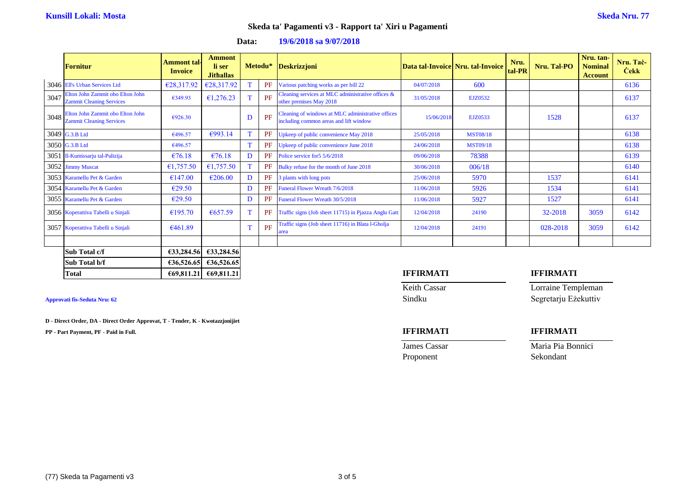|      | <b>Fornitur</b>                                                     | <b>Ammont</b> tal-<br><b>Invoice</b> | <b>Ammont</b><br>li ser<br><b>Jithallas</b> | Metodu* |    | <b>Deskrizzjoni</b>                                                                         |            | Data tal-Invoice Nru. tal-Invoice | Nru.<br>tal-PR | Nru. Tal-PO | Nru. tan-<br><b>Nominal</b><br><b>Account</b> | Nru. Tač-<br><b>Cekk</b> |
|------|---------------------------------------------------------------------|--------------------------------------|---------------------------------------------|---------|----|---------------------------------------------------------------------------------------------|------------|-----------------------------------|----------------|-------------|-----------------------------------------------|--------------------------|
|      | 3046 Ell's Urban Services Ltd                                       | €28,317.92                           | €28,317.92                                  |         | PF | Various patching works as per bill 22                                                       | 04/07/2018 | 600                               |                |             |                                               | 6136                     |
| 3047 | Elton John Zammit obo Elton John<br><b>Zammit Cleaning Services</b> | €349.93                              | £1,276.23                                   | T.      | PF | Cleaning services at MLC administrative offices &<br>other premises May 2018                | 31/05/2018 | EJZ0532                           |                |             |                                               | 6137                     |
| 3048 | Elton John Zammit obo Elton John<br><b>Zammit Cleaning Services</b> | €926.30                              |                                             | D       | PF | Cleaning of windows at MLC administrative offices<br>including common areas and lift window | 15/06/2018 | EJZ0533                           |                | 1528        |                                               | 6137                     |
|      | 3049 G.3.B Ltd                                                      | €496.57                              | €993.14                                     | T       | PF | Upkeep of public convenience May 2018                                                       | 25/05/2018 | <b>MST08/18</b>                   |                |             |                                               | 6138                     |
|      | 3050 G.3.B Ltd                                                      | €496.57                              |                                             | T       | PF | Upkeep of public convenience June 2018                                                      | 24/06/2018 | <b>MST09/18</b>                   |                |             |                                               | 6138                     |
| 3051 | Il-Kumissarju tal-Pulizija                                          | €76.18                               | €76.18                                      | D       | PF | Police service for 5 5/6/2018                                                               | 09/06/2018 | 78388                             |                |             |                                               | 6139                     |
|      | 3052 Jimmy Muscat                                                   | €1,757.50                            | £1,757.50                                   | T.      | PF | Bulky refuse for the month of June 2018                                                     | 30/06/2018 | 006/18                            |                |             |                                               | 6140                     |
|      | 3053 Karamellu Pet & Garden                                         | €147.00                              | €206.00                                     | D       | PF | 3 plants with long pots                                                                     | 25/06/2018 | 5970                              |                | 1537        |                                               | 6141                     |
|      | 3054 Karamellu Pet & Garden                                         | E29.50                               |                                             | D       | PF | <b>Funeral Flower Wreath 7/6/2018</b>                                                       | 11/06/2018 | 5926                              |                | 1534        |                                               | 6141                     |
|      | 3055 Karamellu Pet & Garden                                         | E29.50                               |                                             | D       | PF | Funeral Flower Wreath 30/5/2018                                                             | 11/06/2018 | 5927                              |                | 1527        |                                               | 6141                     |
|      | 3056 Koperattiva Tabelli u Sinjali                                  | €195.70                              | 6657.59                                     | T       | PF | Traffic signs (Job sheet 11715) in Pjazza Anglu Gatt                                        | 12/04/2018 | 24190                             |                | 32-2018     | 3059                                          | 6142                     |
|      | 3057 Koperattiva Tabelli u Sinjali                                  | €461.89                              |                                             | T       | PF | Traffic signs (Job sheet 11716) in Blata l-Gholja<br>ırea                                   | 12/04/2018 | 24191                             |                | 028-2018    | 3059                                          | 6142                     |
|      |                                                                     |                                      |                                             |         |    |                                                                                             |            |                                   |                |             |                                               |                          |
|      | Sub Total c/f                                                       | £33,284.56                           | €33,284.56                                  |         |    |                                                                                             |            |                                   |                |             |                                               |                          |
|      | Sub Total b/f                                                       |                                      | €36,526.65 €36,526.65                       |         |    |                                                                                             |            |                                   |                |             |                                               |                          |

### **Data: 19/6/2018 sa 9/07/2018**

**D - Direct Order, DA - Direct Order Approvat, T - Tender, K - Kwotazzjonijiet**

**PP - Part Payment, PF - Paid in Full. IFFIRMATI IFFIRMATI**

### **Total €69,811.21 €69,811.21 IFFIRMATI IFFIRMATI**

Keith Cassar **Lorraine Templeman Approvati fis-Seduta Nru: 62** Sindku Segretarju Eżekuttiv

**James Cassar Maria Pia Bonnici** Proponent Sekondant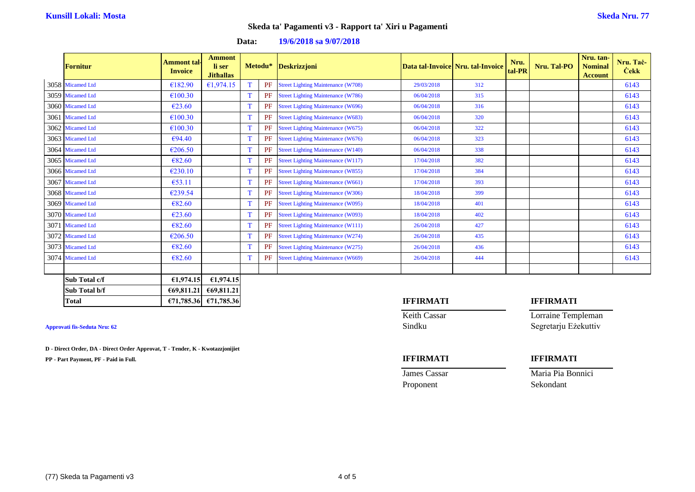**Data: 19/6/2018 sa 9/07/2018**

| <b>Fornitur</b>  | Ammont tal-<br><b>Invoice</b> | <b>Ammont</b><br>li ser<br><b>Jithallas</b> |   | Metodu* | <b>Deskrizzjoni</b>                       |            | Data tal-Invoice Nru. tal-Invoice | Nru.<br>tal-PR | Nru. Tal-PO | Nru. tan-<br><b>Nominal</b><br><b>Account</b> | Nru. Taċ-<br><b>Cekk</b> |
|------------------|-------------------------------|---------------------------------------------|---|---------|-------------------------------------------|------------|-----------------------------------|----------------|-------------|-----------------------------------------------|--------------------------|
| 3058 Micamed Ltd | €182.90                       | £1,974.15                                   | T | PF      | <b>Street Lighting Maintenance (W708)</b> | 29/03/2018 | 312                               |                |             |                                               | 6143                     |
| 3059 Micamed Ltd | €100.30                       |                                             | T | PF      | <b>Street Lighting Maintenance (W786)</b> | 06/04/2018 | 315                               |                |             |                                               | 6143                     |
| 3060 Micamed Ltd | $\epsilon$ 23.60              |                                             | T | PF      | <b>Street Lighting Maintenance (W696)</b> | 06/04/2018 | 316                               |                |             |                                               | 6143                     |
| 3061 Micamed Ltd | €100.30                       |                                             | T | PF      | <b>Street Lighting Maintenance (W683)</b> | 06/04/2018 | 320                               |                |             |                                               | 6143                     |
| 3062 Micamed Ltd | €100.30                       |                                             | T | PF      | <b>Street Lighting Maintenance (W675)</b> | 06/04/2018 | 322                               |                |             |                                               | 6143                     |
| 3063 Micamed Ltd | €94.40                        |                                             | T | PF      | <b>Street Lighting Maintenance (W676)</b> | 06/04/2018 | 323                               |                |             |                                               | 6143                     |
| 3064 Micamed Ltd | €206.50                       |                                             | T | PF      | <b>Street Lighting Maintenance (W140)</b> | 06/04/2018 | 338                               |                |             |                                               | 6143                     |
| 3065 Micamed Ltd | 682.60                        |                                             | T | PF      | <b>Street Lighting Maintenance (W117)</b> | 17/04/2018 | 382                               |                |             |                                               | 6143                     |
| 3066 Micamed Ltd | €230.10                       |                                             | T | PF      | <b>Street Lighting Maintenance (W855)</b> | 17/04/2018 | 384                               |                |             |                                               | 6143                     |
| 3067 Micamed Ltd | €53.11                        |                                             | T | PF      | <b>Street Lighting Maintenance (W661)</b> | 17/04/2018 | 393                               |                |             |                                               | 6143                     |
| 3068 Micamed Ltd | €239.54                       |                                             | T | PF      | <b>Street Lighting Maintenance (W306)</b> | 18/04/2018 | 399                               |                |             |                                               | 6143                     |
| 3069 Micamed Ltd | 682.60                        |                                             | T | PF      | <b>Street Lighting Maintenance (W095)</b> | 18/04/2018 | 401                               |                |             |                                               | 6143                     |
| 3070 Micamed Ltd | €23.60                        |                                             | T | PF      | <b>Street Lighting Maintenance (W093)</b> | 18/04/2018 | 402                               |                |             |                                               | 6143                     |
| 3071 Micamed Ltd | 682.60                        |                                             | T | PF      | <b>Street Lighting Maintenance (W111)</b> | 26/04/2018 | 427                               |                |             |                                               | 6143                     |
| 3072 Micamed Ltd | €206.50                       |                                             | T | PF      | <b>Street Lighting Maintenance (W274)</b> | 26/04/2018 | 435                               |                |             |                                               | 6143                     |
| 3073 Micamed Ltd | 682.60                        |                                             | T | PF      | <b>Street Lighting Maintenance (W275)</b> | 26/04/2018 | 436                               |                |             |                                               | 6143                     |
| 3074 Micamed Ltd | €82.60                        |                                             | T | PF      | <b>Street Lighting Maintenance (W669)</b> | 26/04/2018 | 444                               |                |             |                                               | 6143                     |
|                  |                               |                                             |   |         |                                           |            |                                   |                |             |                                               |                          |
| Sub Total c/f    | €1,974.15                     | £1,974.15                                   |   |         |                                           |            |                                   |                |             |                                               |                          |

**D - Direct Order, DA - Direct Order Approvat, T - Tender, K - Kwotazzjonijiet**

**Sub Total b/f €69,811.21 €69,811.21**

**PP - Part Payment, PF - Paid in Full. IFFIRMATI IFFIRMATI**

# **Total €71,785.36 €71,785.36 IFFIRMATI IFFIRMATI**

Keith Cassar **Lorraine Templeman Approvati fis-Seduta Nru: 62** Sindku Segretarju Eżekuttiv

**James Cassar Maria Pia Bonnici** Maria Pia Bonnici

Proponent Sekondant